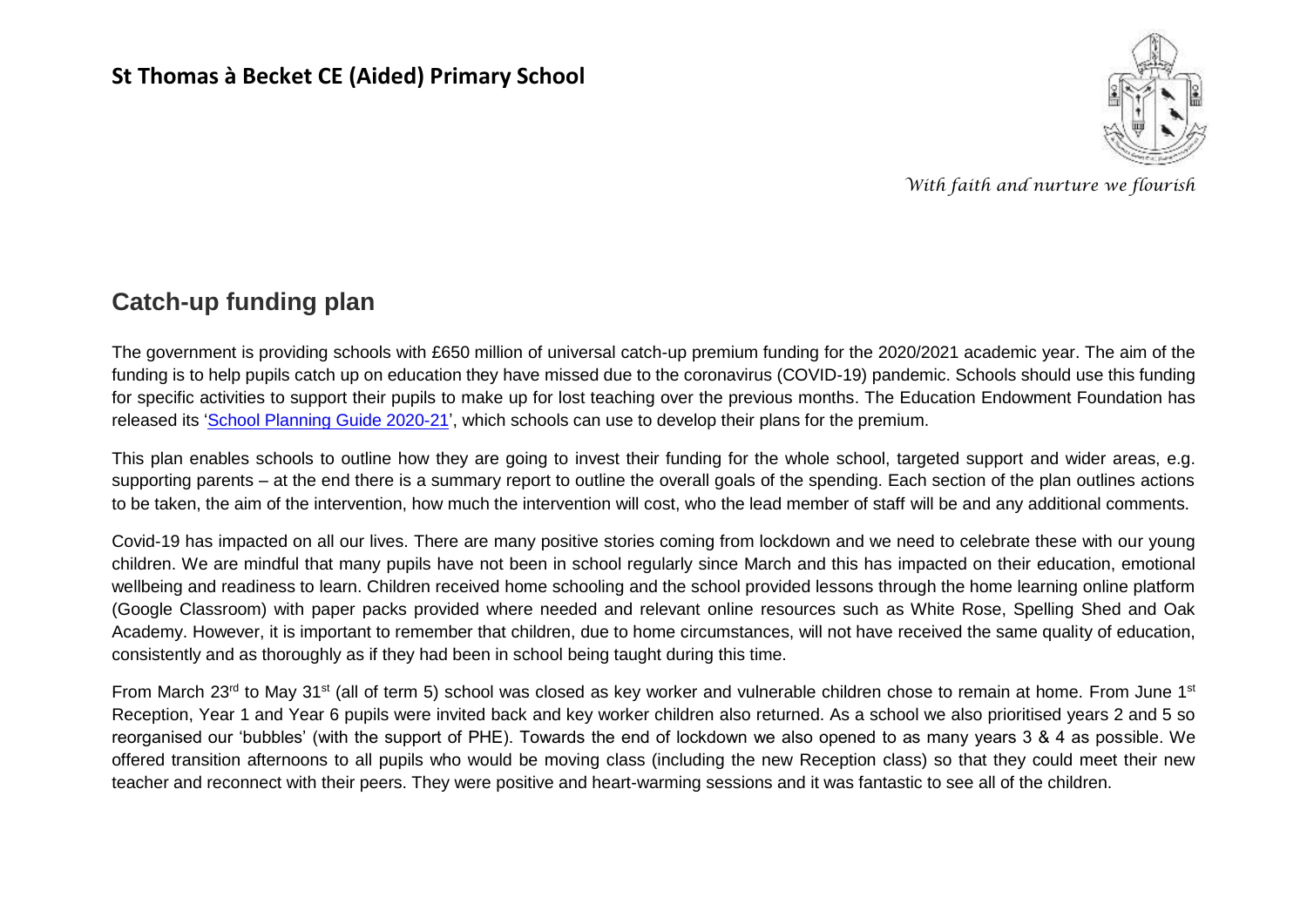#### **St Thomas à Becket CE (Aided) Primary School**



*With faith and nurture we flourish*

#### **Catch-up funding plan**

The government is providing schools with £650 million of universal catch-up premium funding for the 2020/2021 academic year. The aim of the funding is to help pupils catch up on education they have missed due to the coronavirus (COVID-19) pandemic. Schools should use this funding for specific activities to support their pupils to make up for lost teaching over the previous months. The Education Endowment Foundation has released its ['School Planning Guide 2020-21'](https://educationendowmentfoundation.org.uk/covid-19-resources/guide-to-supporting-schools-planning/), which schools can use to develop their plans for the premium.

This plan enables schools to outline how they are going to invest their funding for the whole school, targeted support and wider areas, e.g. supporting parents – at the end there is a summary report to outline the overall goals of the spending. Each section of the plan outlines actions to be taken, the aim of the intervention, how much the intervention will cost, who the lead member of staff will be and any additional comments.

Covid-19 has impacted on all our lives. There are many positive stories coming from lockdown and we need to celebrate these with our young children. We are mindful that many pupils have not been in school regularly since March and this has impacted on their education, emotional wellbeing and readiness to learn. Children received home schooling and the school provided lessons through the home learning online platform (Google Classroom) with paper packs provided where needed and relevant online resources such as White Rose, Spelling Shed and Oak Academy. However, it is important to remember that children, due to home circumstances, will not have received the same quality of education, consistently and as thoroughly as if they had been in school being taught during this time.

From March 23<sup>rd</sup> to May 31<sup>st</sup> (all of term 5) school was closed as key worker and vulnerable children chose to remain at home. From June 1<sup>st</sup> Reception, Year 1 and Year 6 pupils were invited back and key worker children also returned. As a school we also prioritised years 2 and 5 so reorganised our 'bubbles' (with the support of PHE). Towards the end of lockdown we also opened to as many years 3 & 4 as possible. We offered transition afternoons to all pupils who would be moving class (including the new Reception class) so that they could meet their new teacher and reconnect with their peers. They were positive and heart-warming sessions and it was fantastic to see all of the children.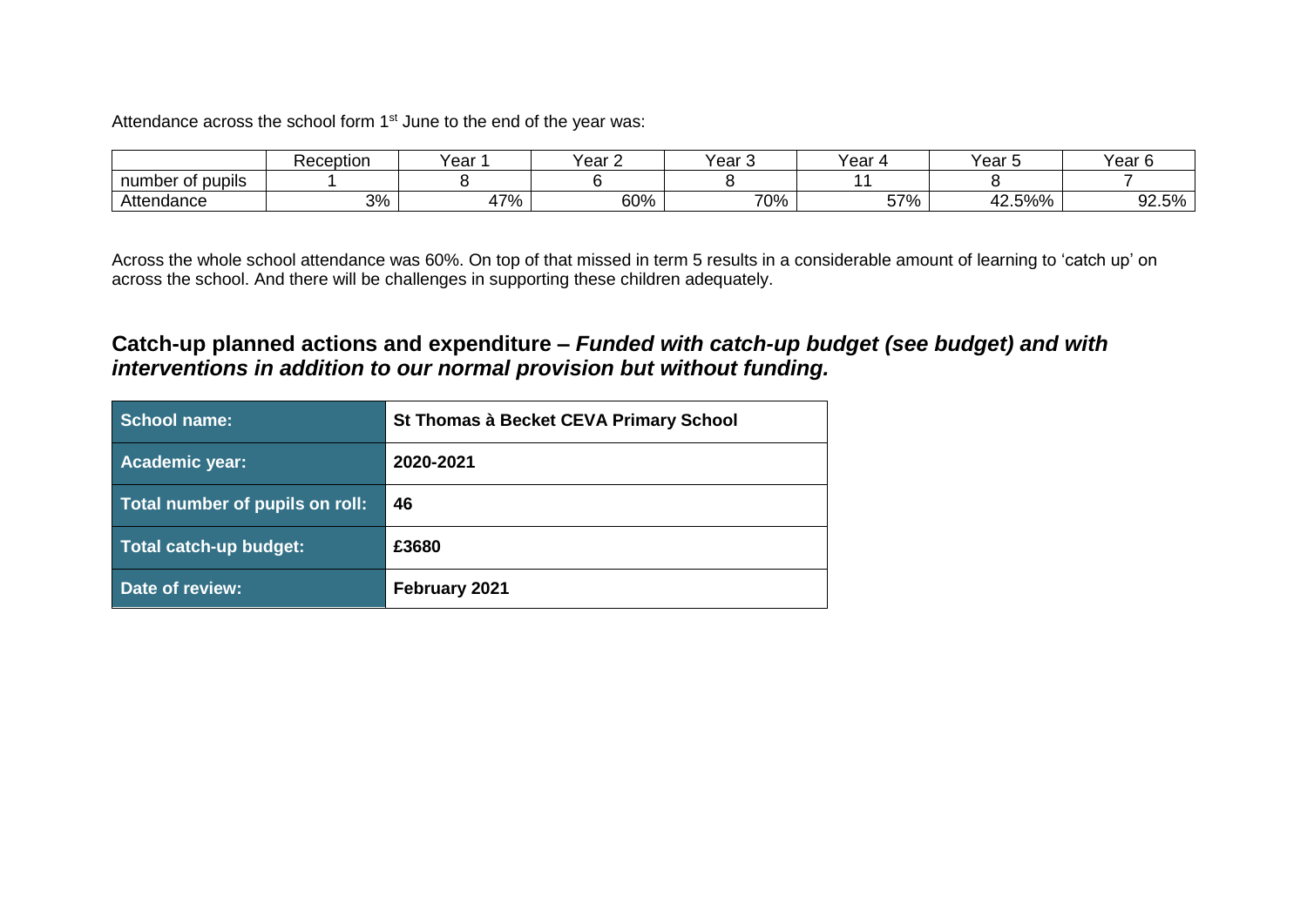Attendance across the school form 1<sup>st</sup> June to the end of the year was:

|                      | Reception | Year   | ′ear<br>_ | ′ear | 'ear | rear   | rear                   |
|----------------------|-----------|--------|-----------|------|------|--------|------------------------|
| ∶of pupils<br>number |           |        |           |      |      |        |                        |
| Attendance           | 3%        | $17\%$ | 60%       | 70%  | 57%  | 42.5%% | E0/<br>$\sim$<br>YZ.5% |

Across the whole school attendance was 60%. On top of that missed in term 5 results in a considerable amount of learning to 'catch up' on across the school. And there will be challenges in supporting these children adequately.

#### **Catch-up planned actions and expenditure –** *Funded with catch-up budget (see budget) and with interventions in addition to our normal provision but without funding.*

| School name:                    | St Thomas à Becket CEVA Primary School |
|---------------------------------|----------------------------------------|
| Academic year:                  | 2020-2021                              |
| Total number of pupils on roll: | 46                                     |
| Total catch-up budget:          | £3680                                  |
| Date of review:                 | February 2021                          |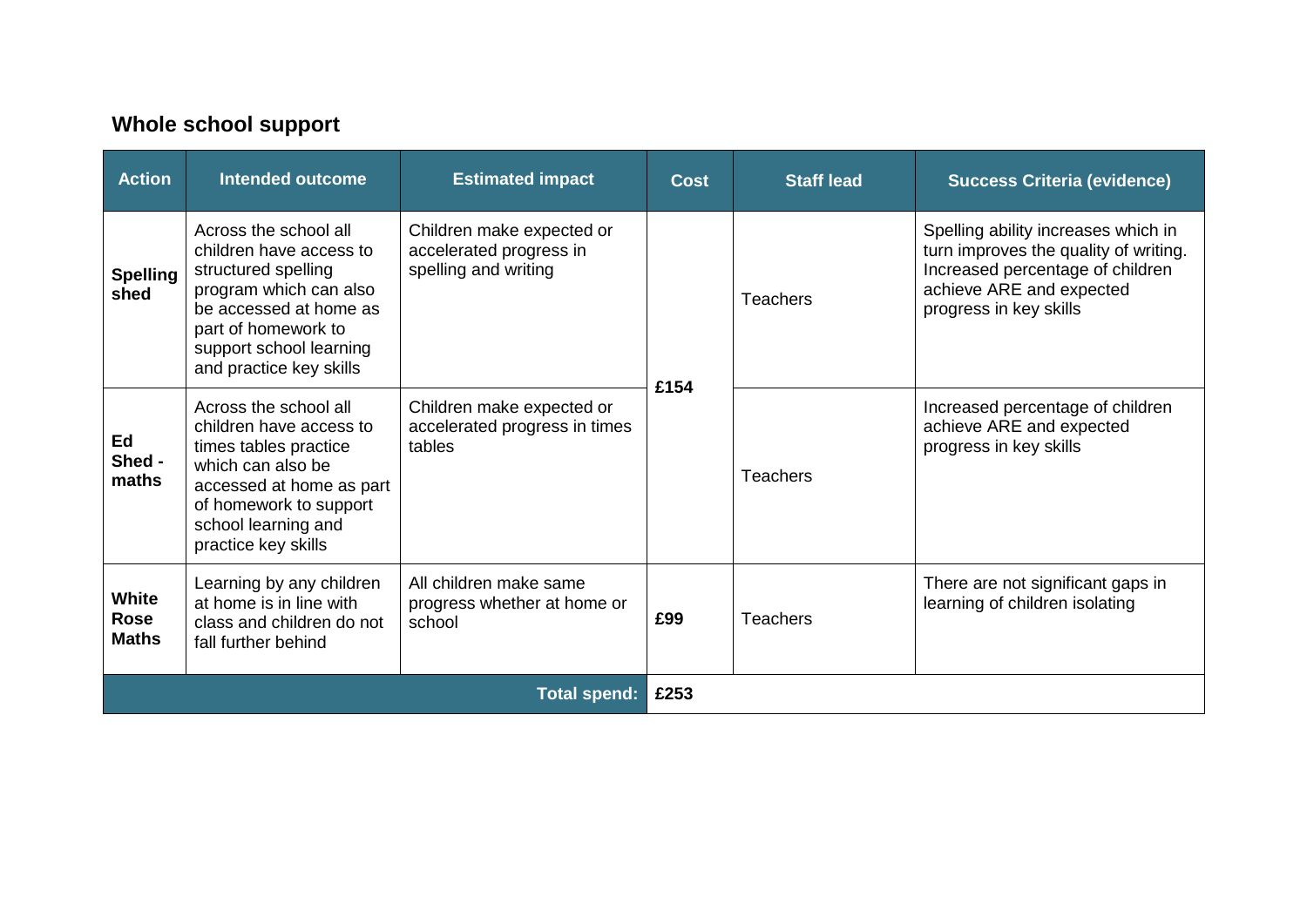### **Whole school support**

| <b>Action</b>                        | <b>Intended outcome</b>                                                                                                                                                                                  | <b>Estimated impact</b>                                                      | <b>Cost</b> | <b>Staff lead</b> | <b>Success Criteria (evidence)</b>                                                                                                                                     |
|--------------------------------------|----------------------------------------------------------------------------------------------------------------------------------------------------------------------------------------------------------|------------------------------------------------------------------------------|-------------|-------------------|------------------------------------------------------------------------------------------------------------------------------------------------------------------------|
| <b>Spelling</b><br>shed              | Across the school all<br>children have access to<br>structured spelling<br>program which can also<br>be accessed at home as<br>part of homework to<br>support school learning<br>and practice key skills | Children make expected or<br>accelerated progress in<br>spelling and writing |             | <b>Teachers</b>   | Spelling ability increases which in<br>turn improves the quality of writing.<br>Increased percentage of children<br>achieve ARE and expected<br>progress in key skills |
| Ed<br>Shed -<br>maths                | Across the school all<br>children have access to<br>times tables practice<br>which can also be<br>accessed at home as part<br>of homework to support<br>school learning and<br>practice key skills       | Children make expected or<br>accelerated progress in times<br>tables         | £154        | <b>Teachers</b>   | Increased percentage of children<br>achieve ARE and expected<br>progress in key skills                                                                                 |
| White<br><b>Rose</b><br><b>Maths</b> | Learning by any children<br>at home is in line with<br>class and children do not<br>fall further behind                                                                                                  | All children make same<br>progress whether at home or<br>school              | £99         | Teachers          | There are not significant gaps in<br>learning of children isolating                                                                                                    |
| <b>Total spend:</b>                  |                                                                                                                                                                                                          |                                                                              |             |                   |                                                                                                                                                                        |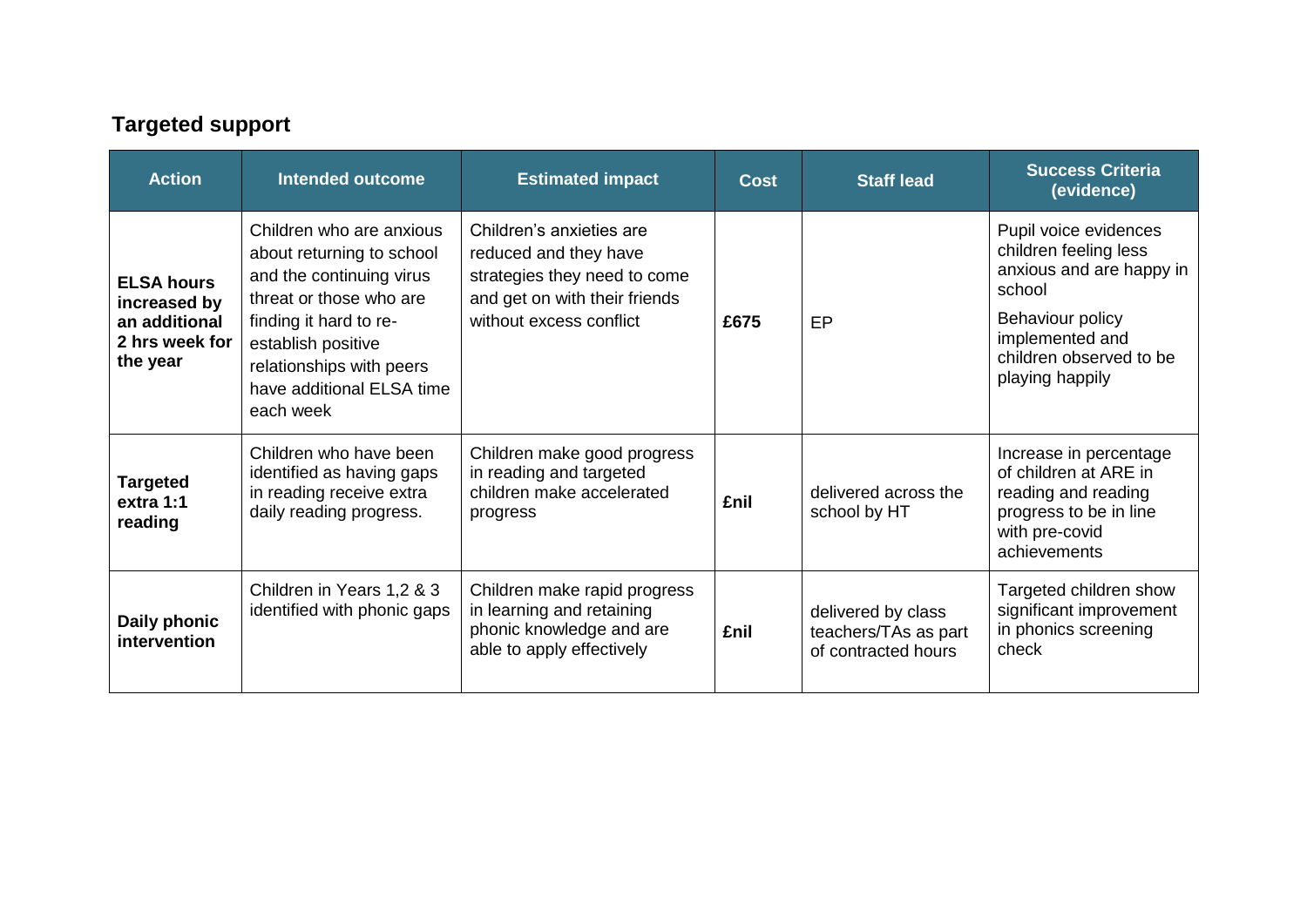# **Targeted support**

| <b>Action</b>                                                                    | <b>Intended outcome</b>                                                                                                                                                                                                            | <b>Estimated impact</b>                                                                                                                       | <b>Cost</b> | <b>Staff lead</b>                                                 | <b>Success Criteria</b><br>(evidence)                                                                                                                                     |
|----------------------------------------------------------------------------------|------------------------------------------------------------------------------------------------------------------------------------------------------------------------------------------------------------------------------------|-----------------------------------------------------------------------------------------------------------------------------------------------|-------------|-------------------------------------------------------------------|---------------------------------------------------------------------------------------------------------------------------------------------------------------------------|
| <b>ELSA hours</b><br>increased by<br>an additional<br>2 hrs week for<br>the year | Children who are anxious<br>about returning to school<br>and the continuing virus<br>threat or those who are<br>finding it hard to re-<br>establish positive<br>relationships with peers<br>have additional ELSA time<br>each week | Children's anxieties are<br>reduced and they have<br>strategies they need to come<br>and get on with their friends<br>without excess conflict | £675        | EP                                                                | Pupil voice evidences<br>children feeling less<br>anxious and are happy in<br>school<br>Behaviour policy<br>implemented and<br>children observed to be<br>playing happily |
| <b>Targeted</b><br>extra 1:1<br>reading                                          | Children who have been<br>identified as having gaps<br>in reading receive extra<br>daily reading progress.                                                                                                                         | Children make good progress<br>in reading and targeted<br>children make accelerated<br>progress                                               | <b>£nil</b> | delivered across the<br>school by HT                              | Increase in percentage<br>of children at ARE in<br>reading and reading<br>progress to be in line<br>with pre-covid<br>achievements                                        |
| Daily phonic<br>intervention                                                     | Children in Years 1,2 & 3<br>identified with phonic gaps                                                                                                                                                                           | Children make rapid progress<br>in learning and retaining<br>phonic knowledge and are<br>able to apply effectively                            | £nil        | delivered by class<br>teachers/TAs as part<br>of contracted hours | Targeted children show<br>significant improvement<br>in phonics screening<br>check                                                                                        |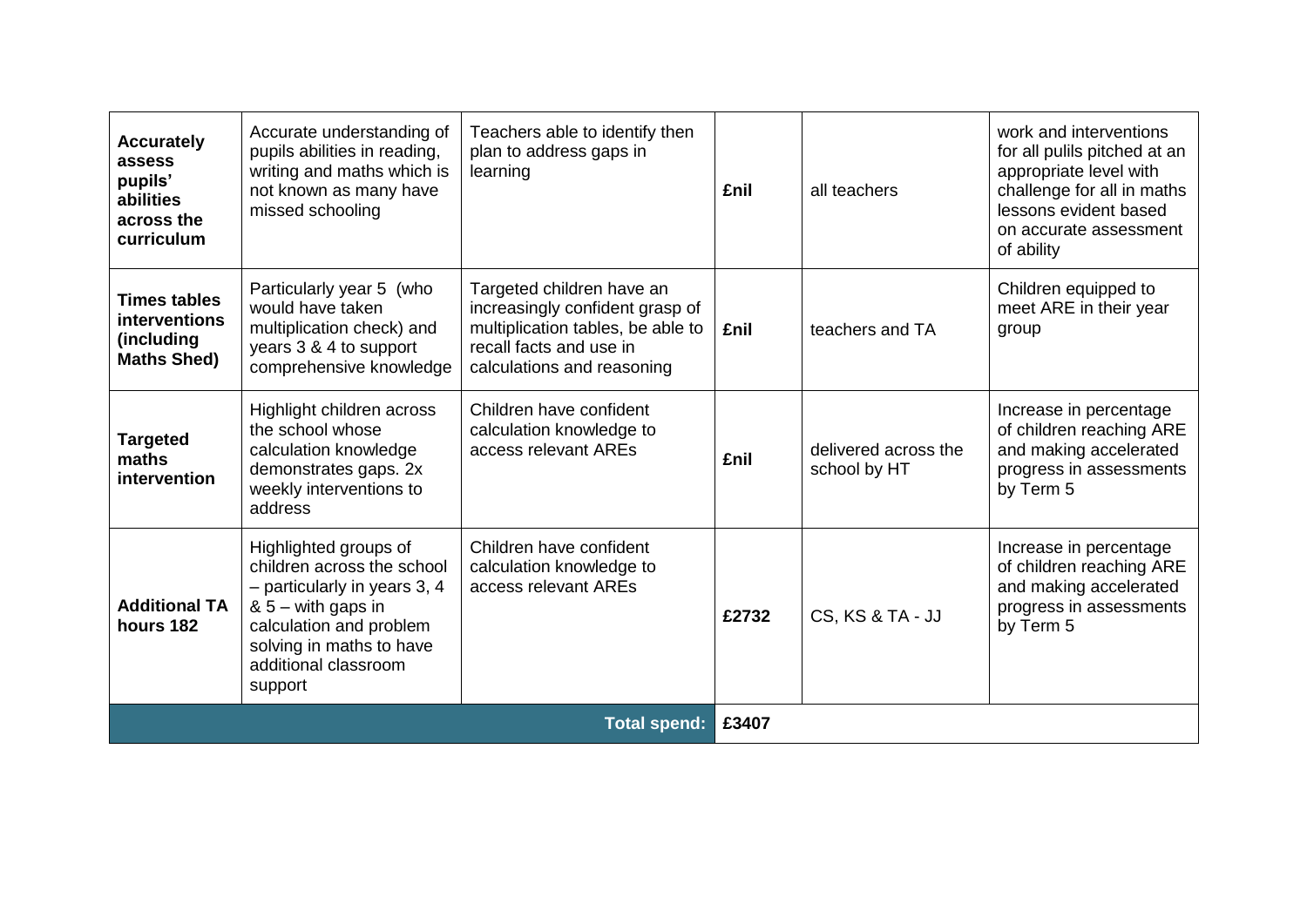| <b>Accurately</b><br>assess<br>pupils'<br>abilities<br>across the<br>curriculum | Accurate understanding of<br>pupils abilities in reading,<br>writing and maths which is<br>not known as many have<br>missed schooling                                                                  | Teachers able to identify then<br>plan to address gaps in<br>learning                                                                                      | £nil        | all teachers                         | work and interventions<br>for all pulils pitched at an<br>appropriate level with<br>challenge for all in maths<br>lessons evident based<br>on accurate assessment<br>of ability |
|---------------------------------------------------------------------------------|--------------------------------------------------------------------------------------------------------------------------------------------------------------------------------------------------------|------------------------------------------------------------------------------------------------------------------------------------------------------------|-------------|--------------------------------------|---------------------------------------------------------------------------------------------------------------------------------------------------------------------------------|
| <b>Times tables</b><br>interventions<br>(including<br><b>Maths Shed)</b>        | Particularly year 5 (who<br>would have taken<br>multiplication check) and<br>years 3 & 4 to support<br>comprehensive knowledge                                                                         | Targeted children have an<br>increasingly confident grasp of<br>multiplication tables, be able to<br>recall facts and use in<br>calculations and reasoning | <b>£nil</b> | teachers and TA                      | Children equipped to<br>meet ARE in their year<br>group                                                                                                                         |
| <b>Targeted</b><br>maths<br>intervention                                        | Highlight children across<br>the school whose<br>calculation knowledge<br>demonstrates gaps. 2x<br>weekly interventions to<br>address                                                                  | Children have confident<br>calculation knowledge to<br>access relevant AREs                                                                                | <b>£nil</b> | delivered across the<br>school by HT | Increase in percentage<br>of children reaching ARE<br>and making accelerated<br>progress in assessments<br>by Term 5                                                            |
| <b>Additional TA</b><br>hours 182                                               | Highlighted groups of<br>children across the school<br>$-$ particularly in years 3, 4<br>$85 -$ with gaps in<br>calculation and problem<br>solving in maths to have<br>additional classroom<br>support | Children have confident<br>calculation knowledge to<br>access relevant AREs                                                                                | £2732       | CS, KS & TA - JJ                     | Increase in percentage<br>of children reaching ARE<br>and making accelerated<br>progress in assessments<br>by Term 5                                                            |
| <b>Total spend:</b>                                                             |                                                                                                                                                                                                        |                                                                                                                                                            | £3407       |                                      |                                                                                                                                                                                 |